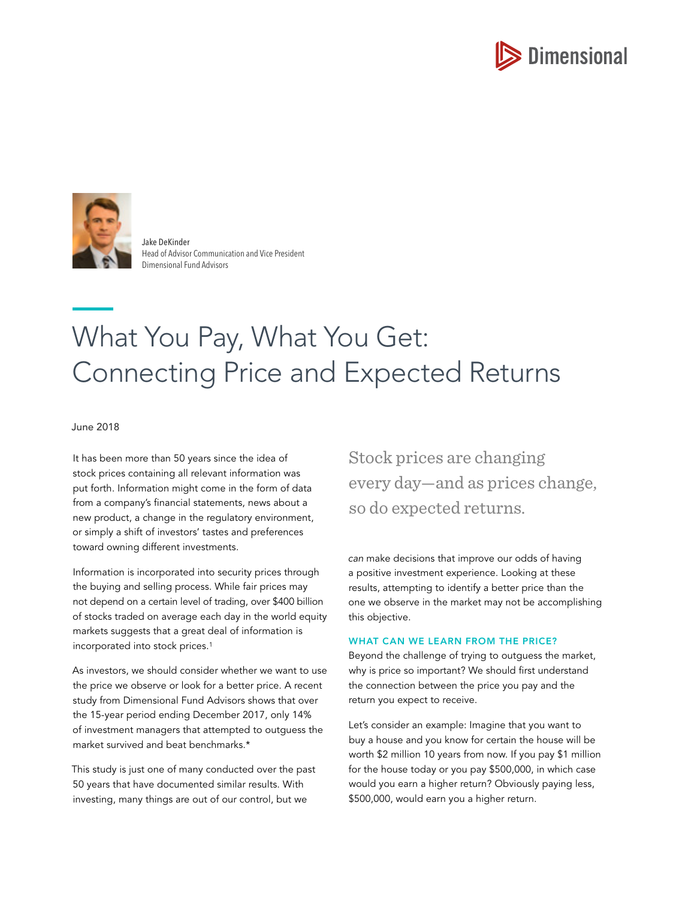



Jake DeKinder Head of Advisor Communication and Vice President Dimensional Fund Advisors

# What You Pay, What You Get: Connecting Price and Expected Returns

June 2018

It has been more than 50 years since the idea of stock prices containing all relevant information was put forth. Information might come in the form of data from a company's financial statements, news about a new product, a change in the regulatory environment, or simply a shift of investors' tastes and preferences toward owning different investments.

Information is incorporated into security prices through the buying and selling process. While fair prices may not depend on a certain level of trading, over \$400 billion of stocks traded on average each day in the world equity markets suggests that a great deal of information is incorporated into stock prices.1

As investors, we should consider whether we want to use the price we observe or look for a better price. A recent study from Dimensional Fund Advisors shows that over the 15-year period ending December 2017, only 14% of investment managers that attempted to outguess the market survived and beat benchmarks.\*

This study is just one of many conducted over the past 50 years that have documented similar results. With investing, many things are out of our control, but we

Stock prices are changing every day—and as prices change, so do expected returns.

*can* make decisions that improve our odds of having a positive investment experience. Looking at these results, attempting to identify a better price than the one we observe in the market may not be accomplishing this objective.

# WHAT CAN WE LEARN FROM THE PRICE?

Beyond the challenge of trying to outguess the market, why is price so important? We should first understand the connection between the price you pay and the return you expect to receive.

Let's consider an example: Imagine that you want to buy a house and you know for certain the house will be worth \$2 million 10 years from now. If you pay \$1 million for the house today or you pay \$500,000, in which case would you earn a higher return? Obviously paying less, \$500,000, would earn you a higher return.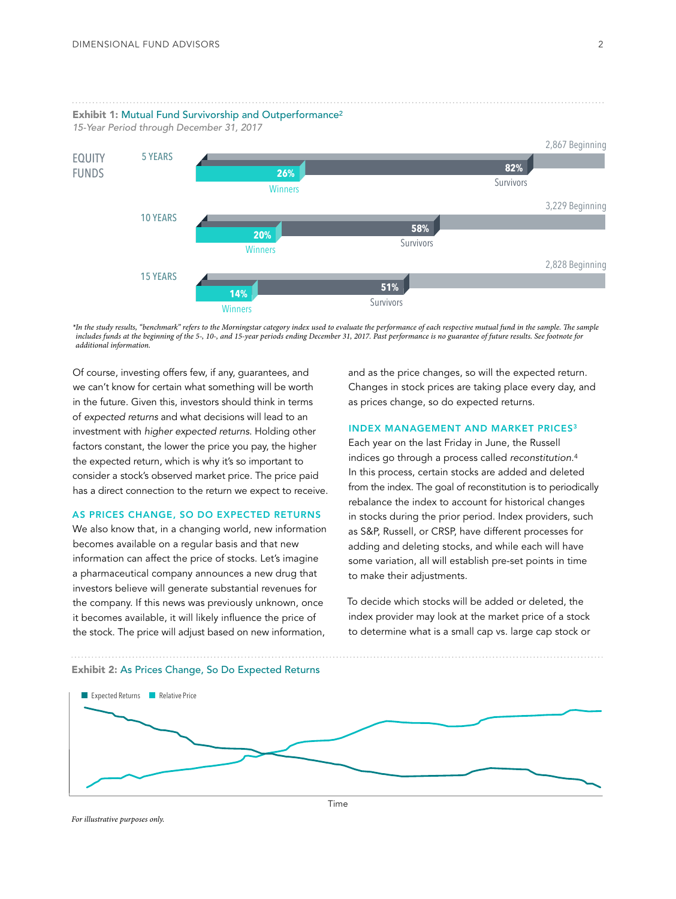

*\*In the study results, "benchmark" refers to the Morningstar category index used to evaluate the performance of each respective mutual fund in the sample. The sample includes funds at the beginning of the 5-, 10-, and 15-year periods ending December 31, 2017. Past performance is no guarantee of future results. See footnote for additional information.*

Of course, investing offers few, if any, guarantees, and we can't know for certain what something will be worth in the future. Given this, investors should think in terms of *expected returns* and what decisions will lead to an investment with *higher expected returns*. Holding other factors constant, the lower the price you pay, the higher the expected return, which is why it's so important to consider a stock's observed market price. The price paid has a direct connection to the return we expect to receive.

#### AS PRICES CHANGE, SO DO EXPECTED RETURNS

We also know that, in a changing world, new information becomes available on a regular basis and that new information can affect the price of stocks. Let's imagine a pharmaceutical company announces a new drug that investors believe will generate substantial revenues for the company. If this news was previously unknown, once it becomes available, it will likely influence the price of the stock. The price will adjust based on new information,

and as the price changes, so will the expected return. Changes in stock prices are taking place every day, and as prices change, so do expected returns.

## INDEX MANAGEMENT AND MARKET PRICES3

Each year on the last Friday in June, the Russell indices go through a process called *reconstitution*.4 In this process, certain stocks are added and deleted from the index. The goal of reconstitution is to periodically rebalance the index to account for historical changes in stocks during the prior period. Index providers, such as S&P, Russell, or CRSP, have different processes for adding and deleting stocks, and while each will have some variation, all will establish pre-set points in time to make their adjustments.

To decide which stocks will be added or deleted, the index provider may look at the market price of a stock to determine what is a small cap vs. large cap stock or



## Exhibit 2: As Prices Change, So Do Expected Returns

*For illustrative purposes only.*